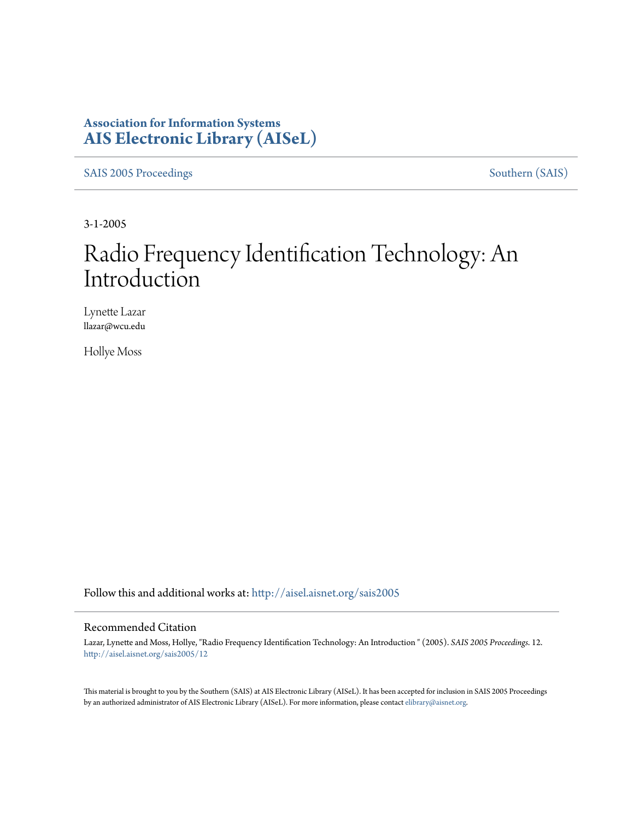## **Association for Information Systems [AIS Electronic Library \(AISeL\)](http://aisel.aisnet.org?utm_source=aisel.aisnet.org%2Fsais2005%2F12&utm_medium=PDF&utm_campaign=PDFCoverPages)**

[SAIS 2005 Proceedings](http://aisel.aisnet.org/sais2005?utm_source=aisel.aisnet.org%2Fsais2005%2F12&utm_medium=PDF&utm_campaign=PDFCoverPages) [Southern \(SAIS\)](http://aisel.aisnet.org/sais?utm_source=aisel.aisnet.org%2Fsais2005%2F12&utm_medium=PDF&utm_campaign=PDFCoverPages)

3-1-2005

# Radio Frequency Identification Technology: An Introduction

Lynette Lazar llazar@wcu.edu

Hollye Moss

Follow this and additional works at: [http://aisel.aisnet.org/sais2005](http://aisel.aisnet.org/sais2005?utm_source=aisel.aisnet.org%2Fsais2005%2F12&utm_medium=PDF&utm_campaign=PDFCoverPages)

#### Recommended Citation

Lazar, Lynette and Moss, Hollye, "Radio Frequency Identification Technology: An Introduction " (2005). *SAIS 2005 Proceedings*. 12. [http://aisel.aisnet.org/sais2005/12](http://aisel.aisnet.org/sais2005/12?utm_source=aisel.aisnet.org%2Fsais2005%2F12&utm_medium=PDF&utm_campaign=PDFCoverPages)

This material is brought to you by the Southern (SAIS) at AIS Electronic Library (AISeL). It has been accepted for inclusion in SAIS 2005 Proceedings by an authorized administrator of AIS Electronic Library (AISeL). For more information, please contact [elibrary@aisnet.org](mailto:elibrary@aisnet.org%3E).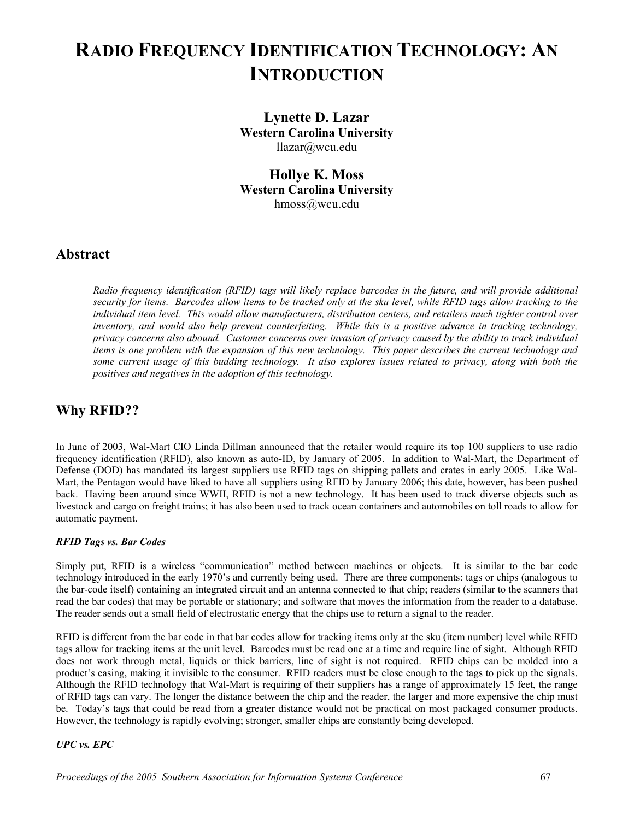## **RADIO FREQUENCY IDENTIFICATION TECHNOLOGY: AN INTRODUCTION**

**Lynette D. Lazar Western Carolina University**  [llazar@wcu.edu](mailto:llazar@wcu.edu)

**Hollye K. Moss Western Carolina University**  [hmoss@wcu.edu](mailto:hmoss@wcu.edu)

### **Abstract**

*Radio frequency identification (RFID) tags will likely replace barcodes in the future, and will provide additional security for items. Barcodes allow items to be tracked only at the sku level, while RFID tags allow tracking to the individual item level. This would allow manufacturers, distribution centers, and retailers much tighter control over inventory, and would also help prevent counterfeiting. While this is a positive advance in tracking technology, privacy concerns also abound. Customer concerns over invasion of privacy caused by the ability to track individual items is one problem with the expansion of this new technology. This paper describes the current technology and some current usage of this budding technology. It also explores issues related to privacy, along with both the positives and negatives in the adoption of this technology.* 

## **Why RFID??**

In June of 2003, Wal-Mart CIO Linda Dillman announced that the retailer would require its top 100 suppliers to use radio frequency identification (RFID), also known as auto-ID, by January of 2005. In addition to Wal-Mart, the Department of Defense (DOD) has mandated its largest suppliers use RFID tags on shipping pallets and crates in early 2005. Like Wal-Mart, the Pentagon would have liked to have all suppliers using RFID by January 2006; this date, however, has been pushed back. Having been around since WWII, RFID is not a new technology. It has been used to track diverse objects such as livestock and cargo on freight trains; it has also been used to track ocean containers and automobiles on toll roads to allow for automatic payment.

#### *RFID Tags vs. Bar Codes*

Simply put, RFID is a wireless "communication" method between machines or objects. It is similar to the bar code technology introduced in the early 1970's and currently being used. There are three components: tags or chips (analogous to the bar-code itself) containing an integrated circuit and an antenna connected to that chip; readers (similar to the scanners that read the bar codes) that may be portable or stationary; and software that moves the information from the reader to a database. The reader sends out a small field of electrostatic energy that the chips use to return a signal to the reader.

RFID is different from the bar code in that bar codes allow for tracking items only at the sku (item number) level while RFID tags allow for tracking items at the unit level. Barcodes must be read one at a time and require line of sight. Although RFID does not work through metal, liquids or thick barriers, line of sight is not required. RFID chips can be molded into a product's casing, making it invisible to the consumer. RFID readers must be close enough to the tags to pick up the signals. Although the RFID technology that Wal-Mart is requiring of their suppliers has a range of approximately 15 feet, the range of RFID tags can vary. The longer the distance between the chip and the reader, the larger and more expensive the chip must be. Today's tags that could be read from a greater distance would not be practical on most packaged consumer products. However, the technology is rapidly evolving; stronger, smaller chips are constantly being developed.

#### *UPC vs. EPC*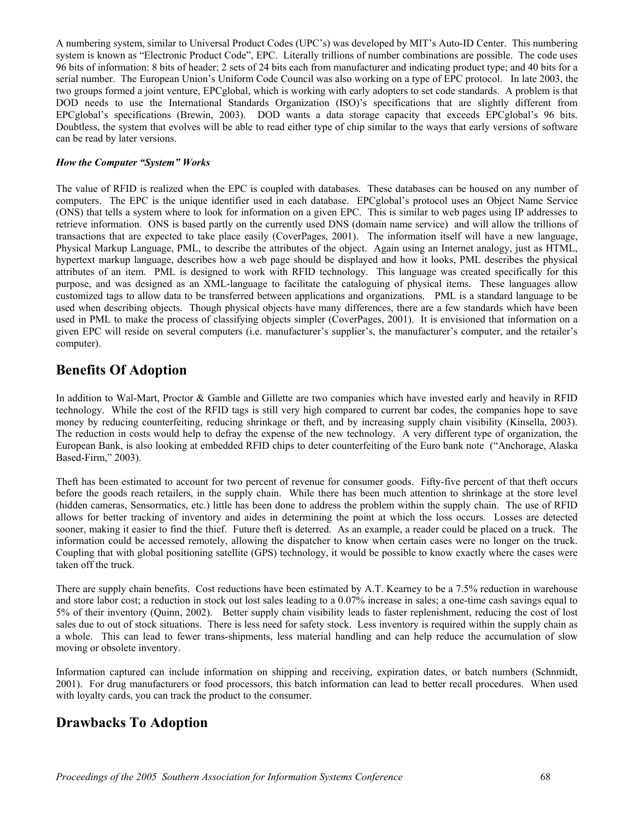A numbering system, similar to Universal Product Codes (UPC's) was developed by MIT's Auto-ID Center. This numbering system is known as "Electronic Product Code", EPC. Literally trillions of number combinations are possible. The code uses 96 bits of information: 8 bits of header; 2 sets of 24 bits each from manufacturer and indicating product type; and 40 bits for a serial number. The European Union's Uniform Code Council was also working on a type of EPC protocol. In late 2003, the two groups formed a joint venture, EPCglobal, which is working with early adopters to set code standards. A problem is that DOD needs to use the International Standards Organization (ISO)'s specifications that are slightly different from EPCglobal's specifications (Brewin, 2003). DOD wants a data storage capacity that exceeds EPCglobal's 96 bits. Doubtless, the system that evolves will be able to read either type of chip similar to the ways that early versions of software can be read by later versions.

#### *How the Computer "System" Works*

The value of RFID is realized when the EPC is coupled with databases. These databases can be housed on any number of computers. The EPC is the unique identifier used in each database. EPCglobal's protocol uses an Object Name Service (ONS) that tells a system where to look for information on a given EPC. This is similar to web pages using IP addresses to retrieve information. ONS is based partly on the currently used DNS (domain name service) and will allow the trillions of transactions that are expected to take place easily (CoverPages, 2001). The information itself will have a new language, Physical Markup Language, PML, to describe the attributes of the object. Again using an Internet analogy, just as HTML, hypertext markup language, describes how a web page should be displayed and how it looks, PML describes the physical attributes of an item. PML is designed to work with RFID technology. This language was created specifically for this purpose, and was designed as an XML-language to facilitate the cataloguing of physical items. These languages allow customized tags to allow data to be transferred between applications and organizations. PML is a standard language to be used when describing objects. Though physical objects have many differences, there are a few standards which have been used in PML to make the process of classifying objects simpler (CoverPages, 2001). It is envisioned that information on a given EPC will reside on several computers (i.e. manufacturer's supplier's, the manufacturer's computer, and the retailer's computer).

## **Benefits Of Adoption**

In addition to Wal-Mart, Proctor & Gamble and Gillette are two companies which have invested early and heavily in RFID technology. While the cost of the RFID tags is still very high compared to current bar codes, the companies hope to save money by reducing counterfeiting, reducing shrinkage or theft, and by increasing supply chain visibility (Kinsella, 2003). The reduction in costs would help to defray the expense of the new technology. A very different type of organization, the European Bank, is also looking at embedded RFID chips to deter counterfeiting of the Euro bank note ("Anchorage, Alaska Based-Firm," 2003).

Theft has been estimated to account for two percent of revenue for consumer goods. Fifty-five percent of that theft occurs before the goods reach retailers, in the supply chain. While there has been much attention to shrinkage at the store level (hidden cameras, Sensormatics, etc.) little has been done to address the problem within the supply chain. The use of RFID allows for better tracking of inventory and aides in determining the point at which the loss occurs. Losses are detected sooner, making it easier to find the thief. Future theft is deterred. As an example, a reader could be placed on a truck. The information could be accessed remotely, allowing the dispatcher to know when certain cases were no longer on the truck. Coupling that with global positioning satellite (GPS) technology, it would be possible to know exactly where the cases were taken off the truck.

There are supply chain benefits. Cost reductions have been estimated by A.T. Kearney to be a 7.5% reduction in warehouse and store labor cost; a reduction in stock out lost sales leading to a 0.07% increase in sales; a one-time cash savings equal to 5% of their inventory (Quinn, 2002). Better supply chain visibility leads to faster replenishment, reducing the cost of lost sales due to out of stock situations. There is less need for safety stock. Less inventory is required within the supply chain as a whole. This can lead to fewer trans-shipments, less material handling and can help reduce the accumulation of slow moving or obsolete inventory.

Information captured can include information on shipping and receiving, expiration dates, or batch numbers (Schnmidt, 2001). For drug manufacturers or food processors, this batch information can lead to better recall procedures. When used with loyalty cards, you can track the product to the consumer.

## **Drawbacks To Adoption**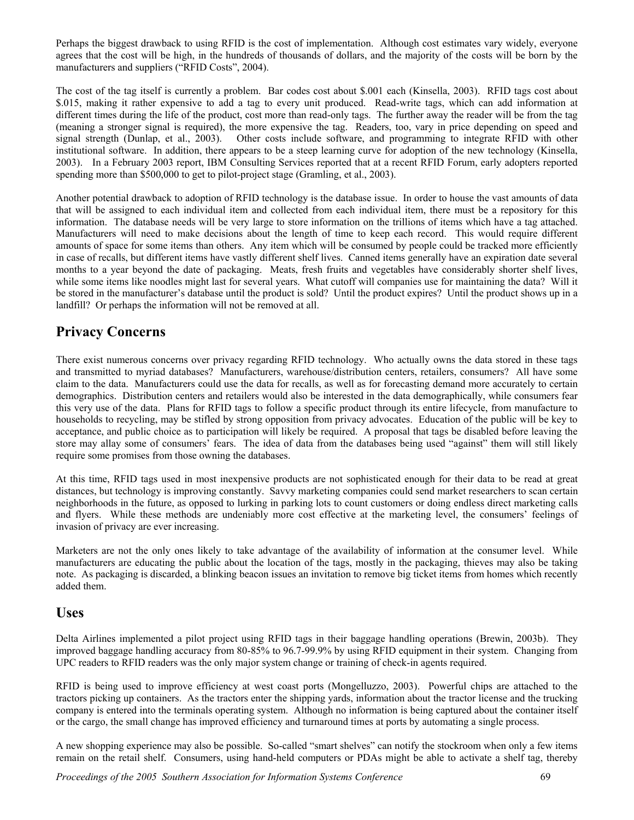Perhaps the biggest drawback to using RFID is the cost of implementation. Although cost estimates vary widely, everyone agrees that the cost will be high, in the hundreds of thousands of dollars, and the majority of the costs will be born by the manufacturers and suppliers ("RFID Costs", 2004).

The cost of the tag itself is currently a problem. Bar codes cost about \$.001 each (Kinsella, 2003). RFID tags cost about \$.015, making it rather expensive to add a tag to every unit produced. Read-write tags, which can add information at different times during the life of the product, cost more than read-only tags. The further away the reader will be from the tag (meaning a stronger signal is required), the more expensive the tag. Readers, too, vary in price depending on speed and signal strength (Dunlap, et al., 2003). Other costs include software, and programming to integrate RFID with other institutional software. In addition, there appears to be a steep learning curve for adoption of the new technology (Kinsella, 2003). In a February 2003 report, IBM Consulting Services reported that at a recent RFID Forum, early adopters reported spending more than \$500,000 to get to pilot-project stage (Gramling, et al., 2003).

Another potential drawback to adoption of RFID technology is the database issue. In order to house the vast amounts of data that will be assigned to each individual item and collected from each individual item, there must be a repository for this information. The database needs will be very large to store information on the trillions of items which have a tag attached. Manufacturers will need to make decisions about the length of time to keep each record. This would require different amounts of space for some items than others. Any item which will be consumed by people could be tracked more efficiently in case of recalls, but different items have vastly different shelf lives. Canned items generally have an expiration date several months to a year beyond the date of packaging. Meats, fresh fruits and vegetables have considerably shorter shelf lives, while some items like noodles might last for several years. What cutoff will companies use for maintaining the data? Will it be stored in the manufacturer's database until the product is sold? Until the product expires? Until the product shows up in a landfill? Or perhaps the information will not be removed at all.

## **Privacy Concerns**

There exist numerous concerns over privacy regarding RFID technology. Who actually owns the data stored in these tags and transmitted to myriad databases? Manufacturers, warehouse/distribution centers, retailers, consumers? All have some claim to the data. Manufacturers could use the data for recalls, as well as for forecasting demand more accurately to certain demographics. Distribution centers and retailers would also be interested in the data demographically, while consumers fear this very use of the data. Plans for RFID tags to follow a specific product through its entire lifecycle, from manufacture to households to recycling, may be stifled by strong opposition from privacy advocates. Education of the public will be key to acceptance, and public choice as to participation will likely be required. A proposal that tags be disabled before leaving the store may allay some of consumers' fears. The idea of data from the databases being used "against" them will still likely require some promises from those owning the databases.

At this time, RFID tags used in most inexpensive products are not sophisticated enough for their data to be read at great distances, but technology is improving constantly. Savvy marketing companies could send market researchers to scan certain neighborhoods in the future, as opposed to lurking in parking lots to count customers or doing endless direct marketing calls and flyers. While these methods are undeniably more cost effective at the marketing level, the consumers' feelings of invasion of privacy are ever increasing.

Marketers are not the only ones likely to take advantage of the availability of information at the consumer level. While manufacturers are educating the public about the location of the tags, mostly in the packaging, thieves may also be taking note. As packaging is discarded, a blinking beacon issues an invitation to remove big ticket items from homes which recently added them.

#### **Uses**

Delta Airlines implemented a pilot project using RFID tags in their baggage handling operations (Brewin, 2003b). They improved baggage handling accuracy from 80-85% to 96.7-99.9% by using RFID equipment in their system. Changing from UPC readers to RFID readers was the only major system change or training of check-in agents required.

RFID is being used to improve efficiency at west coast ports (Mongelluzzo, 2003). Powerful chips are attached to the tractors picking up containers. As the tractors enter the shipping yards, information about the tractor license and the trucking company is entered into the terminals operating system. Although no information is being captured about the container itself or the cargo, the small change has improved efficiency and turnaround times at ports by automating a single process.

A new shopping experience may also be possible. So-called "smart shelves" can notify the stockroom when only a few items remain on the retail shelf. Consumers, using hand-held computers or PDAs might be able to activate a shelf tag, thereby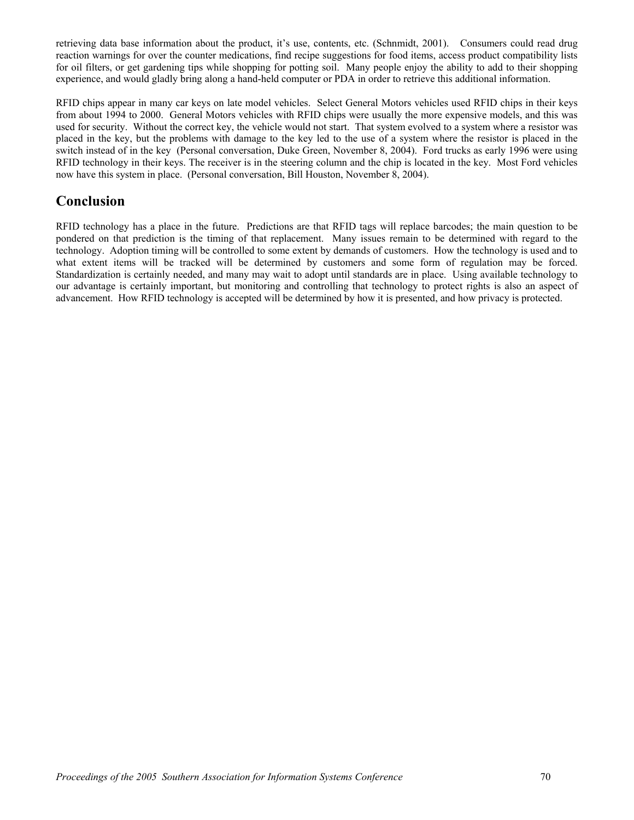retrieving data base information about the product, it's use, contents, etc. (Schnmidt, 2001). Consumers could read drug reaction warnings for over the counter medications, find recipe suggestions for food items, access product compatibility lists for oil filters, or get gardening tips while shopping for potting soil. Many people enjoy the ability to add to their shopping experience, and would gladly bring along a hand-held computer or PDA in order to retrieve this additional information.

RFID chips appear in many car keys on late model vehicles. Select General Motors vehicles used RFID chips in their keys from about 1994 to 2000. General Motors vehicles with RFID chips were usually the more expensive models, and this was used for security. Without the correct key, the vehicle would not start. That system evolved to a system where a resistor was placed in the key, but the problems with damage to the key led to the use of a system where the resistor is placed in the switch instead of in the key (Personal conversation, Duke Green, November 8, 2004). Ford trucks as early 1996 were using RFID technology in their keys. The receiver is in the steering column and the chip is located in the key. Most Ford vehicles now have this system in place. (Personal conversation, Bill Houston, November 8, 2004).

## **Conclusion**

RFID technology has a place in the future. Predictions are that RFID tags will replace barcodes; the main question to be pondered on that prediction is the timing of that replacement. Many issues remain to be determined with regard to the technology. Adoption timing will be controlled to some extent by demands of customers. How the technology is used and to what extent items will be tracked will be determined by customers and some form of regulation may be forced. Standardization is certainly needed, and many may wait to adopt until standards are in place. Using available technology to our advantage is certainly important, but monitoring and controlling that technology to protect rights is also an aspect of advancement. How RFID technology is accepted will be determined by how it is presented, and how privacy is protected.